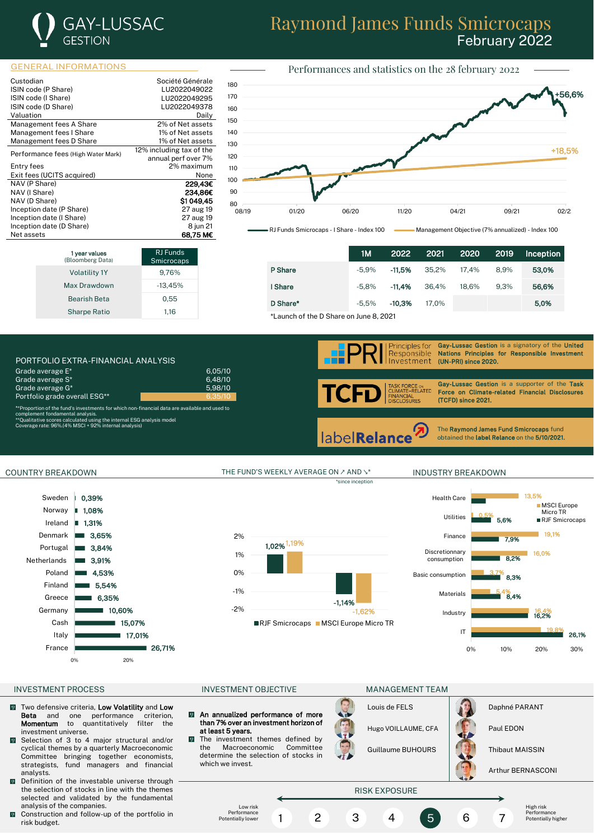

## Raymond James Funds Smicrocaps February 2022

Performances and statistics on the 28 february 2022

### GENERAL INFORMATIONS

| Custodian                          | Société Générale         |  |
|------------------------------------|--------------------------|--|
| ISIN code (P Share)                | LU2022049022             |  |
| ISIN code (I Share)                | LU2022049295             |  |
| ISIN code (D Share)                | LU2022049378             |  |
| Valuation                          | Dailv                    |  |
| Management fees A Share            | 2% of Net assets         |  |
| Management fees I Share            | 1% of Net assets         |  |
| Management fees D Share            | 1% of Net assets         |  |
|                                    | 12% including tax of the |  |
| Performance fees (High Water Mark) | annual perf over 7%      |  |
| Entry fees                         | 2% maximum               |  |
| Exit fees (UCITS acquired)         | None                     |  |
| NAV (P Share)                      | 229,43€                  |  |
| NAV (I Share)                      | 234,86€                  |  |
| NAV (D Share)                      | SI 049.45                |  |
| Inception date (P Share)           | 27 aug 19                |  |
| Inception date (I Share)           | 27 aug 19                |  |
| Inception date (D Share)           | 8 jun 21                 |  |
| Net assets                         | 68.75 M€                 |  |

Volatility 1Y 9.76% Max Drawdown -13,45% Bearish Beta 6,55 Sharpe Ratio 1.16

RJ Funds microcap

**1 year values**<br>(Bloomberg Data)



1M 2022 2021 2020 2019 Inception **P Share 31 11,5% -11,5% 35,2% 17,4% 8,9% 53,0% I Share -5,8% -11,4% 3**6,4% 18,6% 9,3% **56,6% D Share\* 5,0% -5,5% -10,3% -17,0% 5,0% 5,0% 5,0%** 

\*Launch of the D Share on June 8, 2021





COUNTRY BREAKDOWN THE FUND'S WEEKLY AVERAGE ON ↗ AND ↘\* INDUSTRY BREAKDOWN

1,02% 1,19%

-2% -1,62%

RJF Smicrocaps MSCI Europe Micro TR

\*since inception

-1,14%



## INVESTMENT PROCESS **INVESTMENT OBJECTIVE MANAGEMENT TEAM**

- $\sqrt{2}$ Two defensive criteria, Low Volatility and Low Beta and one performance criterion, Momentum to quantitatively filter the investment universe.
- $\bullet$ Selection of 3 to 4 major structural and/or cyclical themes by a quarterly Macroeconomic Committee bringing together economists, strategists, fund managers and financial analysts.
- Definition of the investable universe through the selection of stocks in line with the themes selected and validated by the fundamental analysis of the companies.
- $\blacksquare$  Construction and follow-up of the portfolio in risk budget.

-1% 0% 1% 2%

- $\overline{\varphi}$ An annualized performance of more than 7% over an investment horizon of at least 5 years.
	- The investment themes defined by<br>the Macroeconomic Committee the Macroeconomic determine the selection of stocks in which we invest.

Louis de FELS **Daphné PARANT** Hugo VOILLAUME, CFA | **Paul EDON** 



Guillaume BUHOURS | **Thibaut MAISSIN** 

Arthur BERNASCONI

# RISK EXPOSURE

Low risk Performance Potentially lower

 $\sqrt{9}$ 

1 2 3 4 5 6 7

High risk Performance Potentially higher